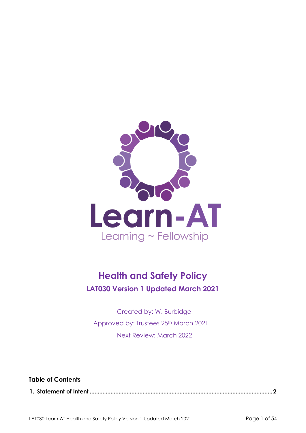

# **Health and Safety Policy LAT030 Version 1 Updated March 2021**

Created by: W. Burbidge Approved by: Trustees 25th March 2021 Next Review: March 2022

**Table of Contents** 

**1. Statement of Intent [..................................................................................................................2](#page-1-0)**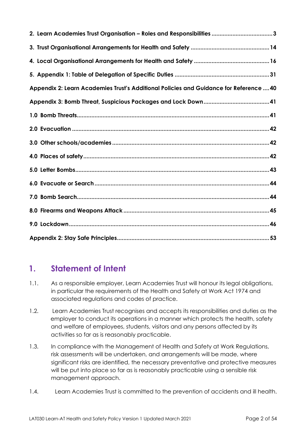| Appendix 2: Learn Academies Trust's Additional Policies and Guidance for Reference  40 |
|----------------------------------------------------------------------------------------|
|                                                                                        |
|                                                                                        |
|                                                                                        |
|                                                                                        |
|                                                                                        |
|                                                                                        |
|                                                                                        |
|                                                                                        |
|                                                                                        |
|                                                                                        |
|                                                                                        |

# <span id="page-1-0"></span>**1. Statement of Intent**

- 1.1. As a responsible employer, Learn Academies Trust will honour its legal obligations, in particular the requirements of the Health and Safety at Work Act 1974 and associated regulations and codes of practice.
- 1.2. Learn Academies Trust recognises and accepts its responsibilities and duties as the employer to conduct its operations in a manner which protects the health, safety and welfare of employees, students, visitors and any persons affected by its activities so far as is reasonably practicable.
- 1.3. In compliance with the Management of Health and Safety at Work Regulations, risk assessments will be undertaken, and arrangements will be made, where significant risks are identified, the necessary preventative and protective measures will be put into place so far as is reasonably practicable using a sensible risk management approach.
- 1.4. Learn Academies Trust is committed to the prevention of accidents and ill health.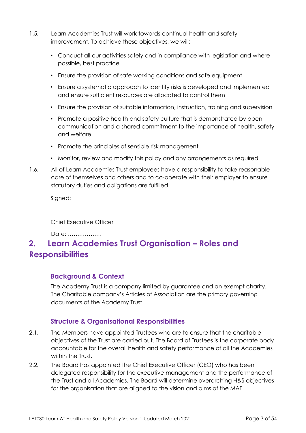- 1.5. Learn Academies Trust will work towards continual health and safety improvement. To achieve these objectives, we will:
	- Conduct all our activities safely and in compliance with legislation and where possible, best practice
	- Ensure the provision of safe working conditions and safe equipment
	- Ensure a systematic approach to identify risks is developed and implemented and ensure sufficient resources are allocated to control them
	- Ensure the provision of suitable information, instruction, training and supervision
	- Promote a positive health and safety culture that is demonstrated by open communication and a shared commitment to the importance of health, safety and welfare
	- Promote the principles of sensible risk management
	- Monitor, review and modify this policy and any arrangements as required.
- 1.6. All of Learn Academies Trust employees have a responsibility to take reasonable care of themselves and others and to co-operate with their employer to ensure statutory duties and obligations are fulfilled.

Signed:

Chief Executive Officer

Date: ………………

# <span id="page-2-0"></span>**2. Learn Academies Trust Organisation – Roles and Responsibilities**

### **Background & Context**

The Academy Trust is a company limited by guarantee and an exempt charity. The Charitable company's Articles of Association are the primary governing documents of the Academy Trust.

# **Structure & Organisational Responsibilities**

- 2.1. The Members have appointed Trustees who are to ensure that the charitable objectives of the Trust are carried out. The Board of Trustees is the corporate body accountable for the overall health and safety performance of all the Academies within the Trust.
- 2.2. The Board has appointed the Chief Executive Officer (CEO) who has been delegated responsibility for the executive management and the performance of the Trust and all Academies. The Board will determine overarching H&S objectives for the organisation that are aligned to the vision and aims of the MAT.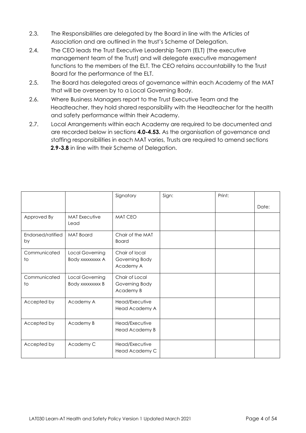- 2.3. The Responsibilities are delegated by the Board in line with the Articles of Association and are outlined in the trust's Scheme of Delegation.
- 2.4. The CEO leads the Trust Executive Leadership Team (ELT) (the executive management team of the Trust) and will delegate executive management functions to the members of the ELT. The CEO retains accountability to the Trust Board for the performance of the ELT.
- 2.5. The Board has delegated areas of governance within each Academy of the MAT that will be overseen by to a Local Governing Body.
- 2.6. Where Business Managers report to the Trust Executive Team and the Headteacher, they hold shared responsibility with the Headteacher for the health and safety performance within their Academy.
- 2.7. Local Arrangements within each Academy are required to be documented and are recorded below in sections **4.0-4.53.** As the organisation of governance and staffing responsibilities in each MAT varies, Trusts are required to amend sections **2.9-3.8** in line with their Scheme of Delegation.

|                         |                                     | Signatory                                     | Sign: | Print: |       |
|-------------------------|-------------------------------------|-----------------------------------------------|-------|--------|-------|
|                         |                                     |                                               |       |        | Date: |
| Approved By             | <b>MAT Executive</b><br>Lead        | MAT CEO                                       |       |        |       |
| Endorsed/ratified<br>by | <b>MAT Board</b>                    | Chair of the MAT<br><b>Board</b>              |       |        |       |
| Communicated<br>to      | Local Governing<br>Body xxxxxxxx A  | Chair of local<br>Governing Body<br>Academy A |       |        |       |
| Communicated<br>to      | Local Governing<br>Body xxxxxxxxx B | Chair of Local<br>Governing Body<br>Academy B |       |        |       |
| Accepted by             | Academy A                           | Head/Executive<br>Head Academy A              |       |        |       |
| Accepted by             | Academy B                           | Head/Executive<br>Head Academy B              |       |        |       |
| Accepted by             | Academy C                           | Head/Executive<br>Head Academy C              |       |        |       |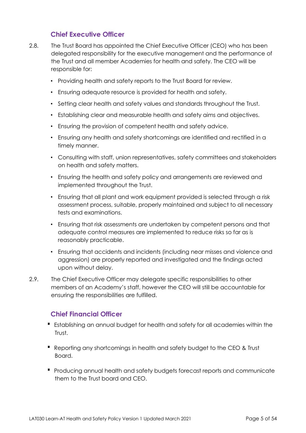## **Chief Executive Officer**

- 2.8. The Trust Board has appointed the Chief Executive Officer (CEO) who has been delegated responsibility for the executive management and the performance of the Trust and all member Academies for health and safety. The CEO will be responsible for:
	- Providing health and safety reports to the Trust Board for review.
	- Ensuring adequate resource is provided for health and safety.
	- Setting clear health and safety values and standards throughout the Trust.
	- Establishing clear and measurable health and safety aims and objectives.
	- Ensuring the provision of competent health and safety advice.
	- Ensuring any health and safety shortcomings are identified and rectified in a timely manner.
	- Consulting with staff, union representatives, safety committees and stakeholders on health and safety matters.
	- Ensuring the health and safety policy and arrangements are reviewed and implemented throughout the Trust.
	- Ensuring that all plant and work equipment provided is selected through a risk assessment process, suitable, properly maintained and subject to all necessary tests and examinations.
	- Ensuring that risk assessments are undertaken by competent persons and that adequate control measures are implemented to reduce risks so far as is reasonably practicable.
	- Ensuring that accidents and incidents (including near misses and violence and aggression) are properly reported and investigated and the findings acted upon without delay.
- 2.9. The Chief Executive Officer may delegate specific responsibilities to other members of an Academy's staff, however the CEO will still be accountable for ensuring the responsibilities are fulfilled.

# **Chief Financial Officer**

- Establishing an annual budget for health and safety for all academies within the Trust.
- Reporting any shortcomings in health and safety budget to the CEO & Trust Board.
- Producing annual health and safety budgets forecast reports and communicate them to the Trust board and CEO.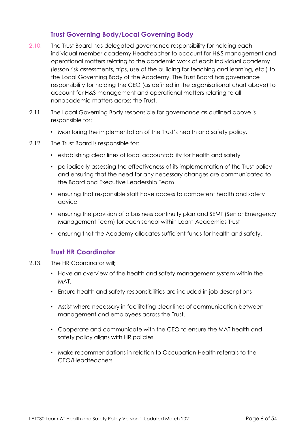# **Trust Governing Body/Local Governing Body**

- 2.10. The Trust Board has delegated governance responsibility for holding each individual member academy Headteacher to account for H&S management and operational matters relating to the academic work of each individual academy (lesson risk assessments, trips, use of the building for teaching and learning, etc.) to the Local Governing Body of the Academy. The Trust Board has governance responsibility for holding the CEO (as defined in the organisational chart above) to account for H&S management and operational matters relating to all nonacademic matters across the Trust.
- 2.11. The Local Governing Body responsible for governance as outlined above is responsible for:
	- Monitoring the implementation of the Trust's health and safety policy.
- 2.12. The Trust Board is responsible for:
	- establishing clear lines of local accountability for health and safety
	- periodically assessing the effectiveness of its implementation of the Trust policy and ensuring that the need for any necessary changes are communicated to the Board and Executive Leadership Team
	- ensuring that responsible staff have access to competent health and safety advice
	- ensuring the provision of a business continuity plan and SEMT (Senior Emergency Management Team) for each school within Learn Academies Trust
	- ensuring that the Academy allocates sufficient funds for health and safety.

# **Trust HR Coordinator**

- 2.13. The HR Coordinator will**;**
	- Have an overview of the health and safety management system within the MAT.
	- Ensure health and safety responsibilities are included in job descriptions
	- Assist where necessary in facilitating clear lines of communication between management and employees across the Trust.
	- Cooperate and communicate with the CEO to ensure the MAT health and safety policy aligns with HR policies.
	- Make recommendations in relation to Occupation Health referrals to the CEO/Headteachers.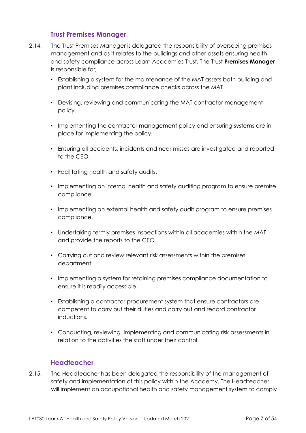### **Trust Premises Manager**

- 2.14. The Trust Premises Manager is delegated the responsibility of overseeing premises management and as it relates to the buildings and other assets ensuring health and safety compliance across Learn Academies Trust. The Trust **Premises Manager**  is responsible for;
	- Establishing a system for the maintenance of the MAT assets both building and plant including premises compliance checks across the MAT.
	- Devising, reviewing and communicating the MAT contractor management policy.
	- Implementing the contractor management policy and ensuring systems are in place for implementing the policy.
	- Ensuring all accidents, incidents and near misses are investigated and reported to the CEO.
	- Facilitating health and safety audits.
	- Implementing an internal health and safety auditing program to ensure premise compliance.
	- Implementing an external health and safety audit program to ensure premises compliance.
	- Undertaking termly premises inspections within all academies within the MAT and provide the reports to the CEO.
	- Carrying out and review relevant risk assessments within the premises department.
	- Implementing a system for retaining premises compliance documentation to ensure it is readily accessible.
	- Establishing a contractor procurement system that ensure contractors are competent to carry out their duties and carry out and record contractor inductions.
	- Conducting, reviewing, implementing and communicating risk assessments in relation to the activities the staff under their control.

# **Headteacher**

2.15. The Headteacher has been delegated the responsibility of the management of safety and implementation of this policy within the Academy. The Headteacher will implement an occupational health and safety management system to comply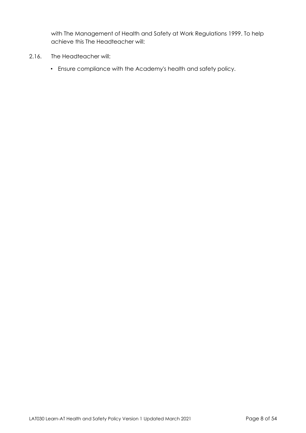with The Management of Health and Safety at Work Regulations 1999. To help achieve this The Headteacher will:

- 2.16. The Headteacher will:
	- Ensure compliance with the Academy's health and safety policy.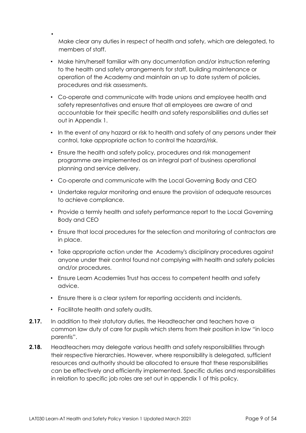Make clear any duties in respect of health and safety, which are delegated, to members of staff.

- Make him/herself familiar with any documentation and/or instruction referring to the health and safety arrangements for staff, building maintenance or operation of the Academy and maintain an up to date system of policies, procedures and risk assessments.
- Co-operate and communicate with trade unions and employee health and safety representatives and ensure that all employees are aware of and accountable for their specific health and safety responsibilities and duties set out in Appendix 1.
- In the event of any hazard or risk to health and safety of any persons under their control, take appropriate action to control the hazard/risk.
- Ensure the health and safety policy, procedures and risk management programme are implemented as an integral part of business operational planning and service delivery.
- Co-operate and communicate with the Local Governing Body and CEO
- Undertake regular monitoring and ensure the provision of adequate resources to achieve compliance.
- Provide a termly health and safety performance report to the Local Governing Body and CEO
- Ensure that local procedures for the selection and monitoring of contractors are in place.
- Take appropriate action under the Academy's disciplinary procedures against anyone under their control found not complying with health and safety policies and/or procedures.
- Ensure Learn Academies Trust has access to competent health and safety advice.
- Ensure there is a clear system for reporting accidents and incidents.
- Facilitate health and safety audits.

•

- **2.17.** In addition to their statutory duties, the Headteacher and teachers have a common law duty of care for pupils which stems from their position in law "in loco parentis".
- **2.18.** Headteachers may delegate various health and safety responsibilities through their respective hierarchies. However, where responsibility is delegated, sufficient resources and authority should be allocated to ensure that these responsibilities can be effectively and efficiently implemented. Specific duties and responsibilities in relation to specific job roles are set out in appendix 1 of this policy.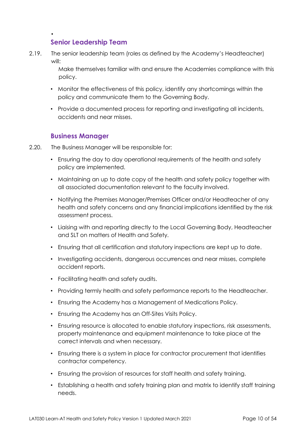# **Senior Leadership Team**

•

2.19. The senior leadership team (roles as defined by the Academy's Headteacher) will:

> Make themselves familiar with and ensure the Academies compliance with this policy.

- Monitor the effectiveness of this policy, identify any shortcomings within the policy and communicate them to the Governing Body.
- Provide a documented process for reporting and investigating all incidents, accidents and near misses.

#### **Business Manager**

- 2.20. The Business Manager will be responsible for:
	- Ensuring the day to day operational requirements of the health and safety policy are implemented.
	- Maintaining an up to date copy of the health and safety policy together with all associated documentation relevant to the faculty involved.
	- Notifying the Premises Manager/Premises Officer and/or Headteacher of any health and safety concerns and any financial implications identified by the risk assessment process.
	- Liaising with and reporting directly to the Local Governing Body, Headteacher and SLT on matters of Health and Safety.
	- Ensuring that all certification and statutory inspections are kept up to date.
	- Investigating accidents, dangerous occurrences and near misses, complete accident reports.
	- Facilitating health and safety audits.
	- Providing termly health and safety performance reports to the Headteacher.
	- Ensuring the Academy has a Management of Medications Policy.
	- Ensuring the Academy has an Off-Sites Visits Policy.
	- Ensuring resource is allocated to enable statutory inspections, risk assessments, property maintenance and equipment maintenance to take place at the correct intervals and when necessary.
	- Ensuring there is a system in place for contractor procurement that identifies contractor competency.
	- Ensuring the provision of resources for staff health and safety training.
	- Establishing a health and safety training plan and matrix to identify staff training needs.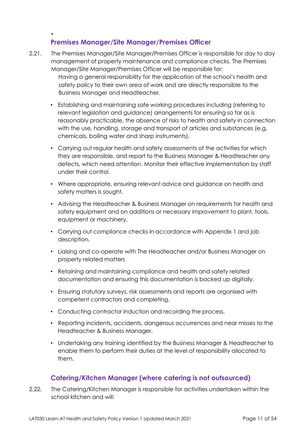# **Premises Manager/Site Manager/Premises Officer**

•

- 2.21. The Premises Manager/Site Manager/Premises Officer is responsible for day to day management of property maintenance and compliance checks. The Premises Manager/Site Manager/Premises Officer will be responsible for: Having a general responsibility for the application of the school's health and safety policy to their own area of work and are directly responsible to the Business Manager and Headteacher.
	- Establishing and maintaining safe working procedures including (referring to relevant legislation and guidance) arrangements for ensuring so far as is reasonably practicable, the absence of risks to health and safety in connection with the use, handling, storage and transport of articles and substances (e.g. chemicals, boiling water and sharp instruments).
	- Carrying out regular health and safety assessments of the activities for which they are responsible, and report to the Business Manager & Headteacher any defects, which need attention. Monitor their effective implementation by staff under their control.
	- Where appropriate, ensuring relevant advice and guidance on health and safety matters is sought.
	- Advising the Headteacher & Business Manager on requirements for health and safety equipment and on additions or necessary improvement to plant, tools, equipment or machinery.
	- Carrying out compliance checks in accordance with Appendix 1 and job description.
	- Liaising and co-operate with The Headteacher and/or Business Manager on property related matters
	- Retaining and maintaining compliance and health and safety related documentation and ensuring this documentation is backed up digitally.
	- Ensuring statutory surveys, risk assessments and reports are organised with competent contractors and completing.
	- Conducting contractor induction and recording the process.
	- Reporting incidents, accidents, dangerous occurrences and near misses to the Headteacher & Business Manager.
	- Undertaking any training identified by the Business Manager & Headteacher to enable them to perform their duties at the level of responsibility allocated to them.

# **Catering/Kitchen Manager (where catering is not outsourced)**

2.22. The Catering/Kitchen Manager is responsible for activities undertaken within the school kitchen and will: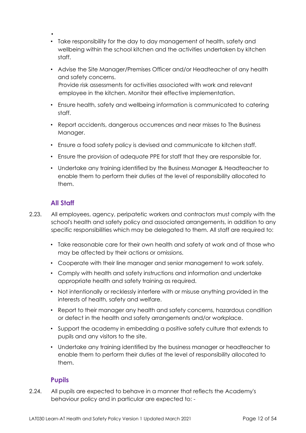- • Take responsibility for the day to day management of health, safety and wellbeing within the school kitchen and the activities undertaken by kitchen staff.
- Advise the Site Manager/Premises Officer and/or Headteacher of any health and safety concerns. Provide risk assessments for activities associated with work and relevant employee in the kitchen. Monitor their effective implementation.
- Ensure health, safety and wellbeing information is communicated to catering staff.
- Report accidents, dangerous occurrences and near misses to The Business Manager.
- Ensure a food safety policy is devised and communicate to kitchen staff.
- Ensure the provision of adequate PPE for staff that they are responsible for.
- Undertake any training identified by the Business Manager & Headteacher to enable them to perform their duties at the level of responsibility allocated to them.

# **All Staff**

- 2.23. All employees, agency, peripatetic workers and contractors must comply with the school's health and safety policy and associated arrangements, in addition to any specific responsibilities which may be delegated to them. All staff are required to:
	- Take reasonable care for their own health and safety at work and of those who may be affected by their actions or omissions.
	- Cooperate with their line manager and senior management to work safely.
	- Comply with health and safety instructions and information and undertake appropriate health and safety training as required.
	- Not intentionally or recklessly interfere with or misuse anything provided in the interests of health, safety and welfare.
	- Report to their manager any health and safety concerns, hazardous condition or defect in the health and safety arrangements and/or workplace.
	- Support the academy in embedding a positive safety culture that extends to pupils and any visitors to the site.
	- Undertake any training identified by the business manager or headteacher to enable them to perform their duties at the level of responsibility allocated to them.

# **Pupils**

2.24. All pupils are expected to behave in a manner that reflects the Academy's behaviour policy and in particular are expected to: -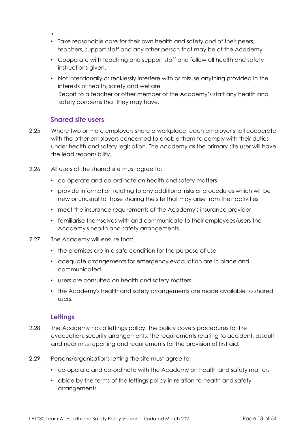- •
- Take reasonable care for their own health and safety and of their peers, teachers, support staff and any other person that may be at the Academy
- Cooperate with teaching and support staff and follow all health and safety instructions given.
- Not intentionally or recklessly interfere with or misuse anything provided in the interests of health, safety and welfare Report to a teacher or other member of the Academy's staff any health and safety concerns that they may have.

# **Shared site users**

- 2.25. Where two or more employers share a workplace, each employer shall cooperate with the other employers concerned to enable them to comply with their duties under health and safety legislation. The Academy as the primary site user will have the lead responsibility.
- 2.26. All users of the shared site must agree to:
	- co-operate and co-ordinate on health and safety matters
	- provide information relating to any additional risks or procedures which will be new or unusual to those sharing the site that may arise from their activities
	- meet the insurance requirements of the Academy's insurance provider
	- familiarise themselves with and communicate to their employees/users the Academy's health and safety arrangements.
- 2.27. The Academy will ensure that:
	- the premises are in a safe condition for the purpose of use
	- adequate arrangements for emergency evacuation are in place and communicated
	- users are consulted on health and safety matters
	- the Academy's health and safety arrangements are made available to shared users.

#### **Lettings**

- 2.28. The Academy has a lettings policy. The policy covers procedures for fire evacuation, security arrangements, the requirements relating to accident, assault and near miss reporting and requirements for the provision of first aid.
- 2.29. Persons/organisations letting the site must agree to:
	- co-operate and co-ordinate with the Academy on health and safety matters
	- abide by the terms of the lettings policy in relation to health and safety arrangements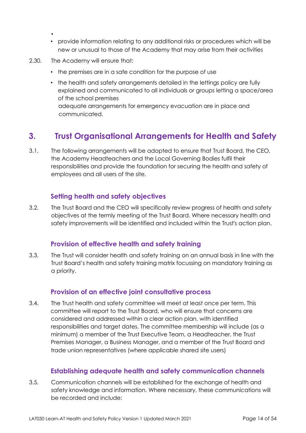- provide information relating to any additional risks or procedures which will be new or unusual to those of the Academy that may arise from their activities
- 2.30. The Academy will ensure that:

•

- the premises are in a safe condition for the purpose of use
- the health and safety arrangements detailed in the lettings policy are fully explained and communicated to all individuals or groups letting a space/area of the school premises adequate arrangements for emergency evacuation are in place and communicated.

# <span id="page-13-0"></span>**3. Trust Organisational Arrangements for Health and Safety**

3.1. The following arrangements will be adopted to ensure that Trust Board, the CEO, the Academy Headteachers and the Local Governing Bodies fulfil their responsibilities and provide the foundation for securing the health and safety of employees and all users of the site.

# **Setting health and safety objectives**

3.2. The Trust Board and the CEO will specifically review progress of health and safety objectives at the termly meeting of the Trust Board. Where necessary health and safety improvements will be identified and included within the Trust's action plan.

### **Provision of effective health and safety training**

3.3. The Trust will consider health and safety training on an annual basis in line with the Trust Board's health and safety training matrix focussing on mandatory training as a priority.

### **Provision of an effective joint consultative process**

3.4. The Trust health and safety committee will meet at least once per term. This committee will report to the Trust Board, who will ensure that concerns are considered and addressed within a clear action plan, with identified responsibilities and target dates. The committee membership will include (as a minimum) a member of the Trust Executive Team, a Headteacher, the Trust Premises Manager, a Business Manager, and a member of the Trust Board and trade union representatives (where applicable shared site users)

### **Establishing adequate health and safety communication channels**

3.5. Communication channels will be established for the exchange of health and safety knowledge and information. Where necessary, these communications will be recorded and include: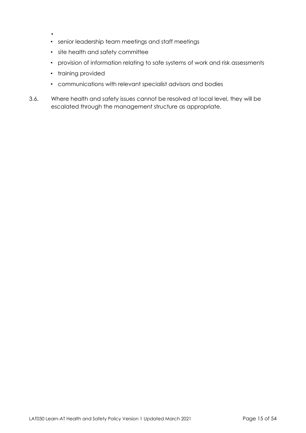- •
- senior leadership team meetings and staff meetings
- site health and safety committee
- provision of information relating to safe systems of work and risk assessments
- training provided
- communications with relevant specialist advisors and bodies
- 3.6. Where health and safety issues cannot be resolved at local level, they will be escalated through the management structure as appropriate.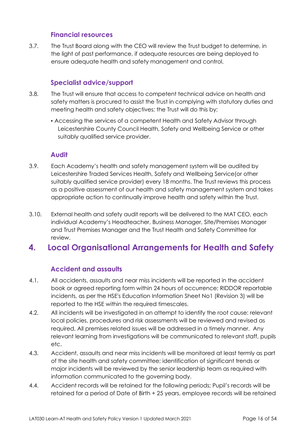### **Financial resources**

3.7. The Trust Board along with the CEO will review the Trust budget to determine, in the light of past performance, if adequate resources are being deployed to ensure adequate health and safety management and control.

### **Specialist advice/support**

- 3.8. The Trust will ensure that access to competent technical advice on health and safety matters is procured to assist the Trust in complying with statutory duties and meeting health and safety objectives; the Trust will do this by;
	- Accessing the services of a competent Health and Safety Advisor through Leicestershire County Council Health, Safety and Wellbeing Service or other suitably qualified service provider.

#### **Audit**

- 3.9. Each Academy's health and safety management system will be audited by Leicestershire Traded Services Health, Safety and Wellbeing Service(or other suitably qualified service provider) every 18 months. The Trust reviews this process as a positive assessment of our health and safety management system and takes appropriate action to continually improve health and safety within the Trust.
- 3.10. External health and safety audit reports will be delivered to the MAT CEO, each individual Academy's Headteacher, Business Manager, Site/Premises Manager and Trust Premises Manager and the Trust Health and Safety Committee for review.

# <span id="page-15-0"></span>**4. Local Organisational Arrangements for Health and Safety**

### **Accident and assaults**

- 4.1. All accidents, assaults and near miss incidents will be reported in the accident book or agreed reporting form within 24 hours of occurrence; RIDDOR reportable incidents, as per the HSE's Education Information Sheet No1 (Revision 3) will be reported to the HSE within the required timescales.
- 4.2. All incidents will be investigated in an attempt to identify the root cause: relevant local policies, procedures and risk assessments will be reviewed and revised as required. All premises related issues will be addressed in a timely manner. Any relevant learning from investigations will be communicated to relevant staff, pupils etc.
- 4.3. Accident, assaults and near miss incidents will be monitored at least termly as part of the site health and safety committee; identification of significant trends or major incidents will be reviewed by the senior leadership team as required with information communicated to the governing body.
- 4.4. Accident records will be retained for the following periods; Pupil's records will be retained for a period of Date of Birth + 25 years, employee records will be retained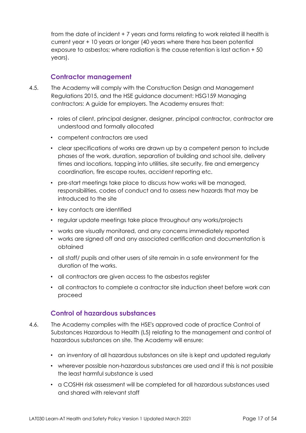from the date of incident + 7 years and forms relating to work related ill health is current year + 10 years or longer (40 years where there has been potential exposure to asbestos; where radiation is the cause retention is last action + 50 years).

### **Contractor management**

- 4.5. The Academy will comply with the Construction Design and Management Regulations 2015, and the HSE guidance document: HSG159 Managing contractors: A guide for employers. The Academy ensures that:
	- roles of client, principal designer, designer, principal contractor, contractor are understood and formally allocated
	- competent contractors are used
	- clear specifications of works are drawn up by a competent person to include phases of the work, duration, separation of building and school site, delivery times and locations, tapping into utilities, site security, fire and emergency coordination, fire escape routes, accident reporting etc.
	- pre-start meetings take place to discuss how works will be managed, responsibilities, codes of conduct and to assess new hazards that may be introduced to the site
	- key contacts are identified
	- regular update meetings take place throughout any works/projects
	- works are visually monitored, and any concerns immediately reported
	- works are signed off and any associated certification and documentation is obtained
	- all staff/ pupils and other users of site remain in a safe environment for the duration of the works.
	- all contractors are given access to the asbestos register
	- all contractors to complete a contractor site induction sheet before work can proceed

### **Control of hazardous substances**

- 4.6. The Academy complies with the HSE's approved code of practice Control of Substances Hazardous to Health (L5) relating to the management and control of hazardous substances on site. The Academy will ensure:
	- an inventory of all hazardous substances on site is kept and updated regularly
	- wherever possible non-hazardous substances are used and if this is not possible the least harmful substance is used
	- a COSHH risk assessment will be completed for all hazardous substances used and shared with relevant staff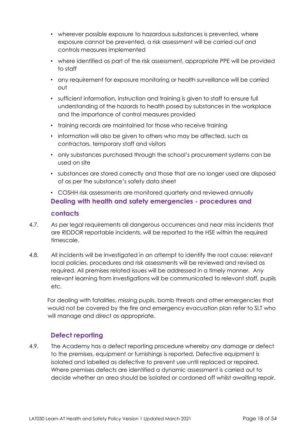- wherever possible exposure to hazardous substances is prevented, where exposure cannot be prevented, a risk assessment will be carried out and controls measures implemented
- where identified as part of the risk assessment, appropriate PPE will be provided to staff
- any requirement for exposure monitoring or health surveillance will be carried out
- sufficient information, instruction and training is given to staff to ensure full understanding of the hazards to health posed by substances in the workplace and the importance of control measures provided
- training records are maintained for those who receive training
- information will also be given to others who may be affected, such as contractors, temporary staff and visitors
- only substances purchased through the school's procurement systems can be used on site
- substances are stored correctly and those that are no longer used are disposed of as per the substance's safety data sheet
- COSHH risk assessments are monitored quarterly and reviewed annually **Dealing with health and safety emergencies - procedures and**

#### **contacts**

- 4.7. As per legal requirements all dangerous occurrences and near miss incidents that are RIDDOR reportable incidents, will be reported to the HSE within the required timescale.
- 4.8. All incidents will be investigated in an attempt to identify the root cause: relevant local policies, procedures and risk assessments will be reviewed and revised as required. All premises related issues will be addressed in a timely manner. Any relevant learning from investigations will be communicated to relevant staff, pupils etc.

For dealing with fatalities, missing pupils, bomb threats and other emergencies that would not be covered by the fire and emergency evacuation plan refer to SLT who will manage and direct as appropriate.

# **Defect reporting**

4.9. The Academy has a defect reporting procedure whereby any damage or defect to the premises, equipment or furnishings is reported. Defective equipment is isolated and labelled as defective to prevent use until replaced or repaired. Where premises defects are identified a dynamic assessment is carried out to decide whether an area should be isolated or cordoned off whilst awaiting repair.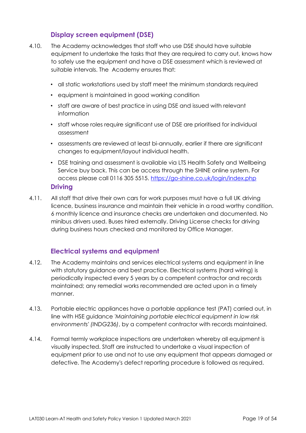# **Display screen equipment (DSE)**

- 4.10. The Academy acknowledges that staff who use DSE should have suitable equipment to undertake the tasks that they are required to carry out, knows how to safely use the equipment and have a DSE assessment which is reviewed at suitable intervals. The Academy ensures that:
	- all static workstations used by staff meet the minimum standards required
	- equipment is maintained in good working condition
	- staff are aware of best practice in using DSE and issued with relevant information
	- staff whose roles require significant use of DSE are prioritised for individual assessment
	- assessments are reviewed at least bi-annually, earlier if there are significant changes to equipment/layout individual health.
	- DSE training and assessment is available via LTS Health Safety and Wellbeing Service buy back. This can be access through the SHINE online system. For access please call 0116 305 5515.<https://go-shine.co.uk/login/index.php>

#### **Driving**

4.11. All staff that drive their own cars for work purposes must have a full UK driving licence, business insurance and maintain their vehicle in a road worthy condition. 6 monthly licence and insurance checks are undertaken and documented. No minibus drivers used. Buses hired externally. Driving License checks for driving during business hours checked and monitored by Office Manager.

# **Electrical systems and equipment**

- 4.12. The Academy maintains and services electrical systems and equipment in line with statutory guidance and best practice. Electrical systems (hard wiring) is periodically inspected every 5 years by a competent contractor and records maintained; any remedial works recommended are acted upon in a timely manner.
- 4.13. Portable electric appliances have a portable appliance test (PAT) carried out, in line with HSE guidance *'Maintaining portable electrical equipment in low risk environments' (INDG236)*, by a competent contractor with records maintained.
- 4.14. Formal termly workplace inspections are undertaken whereby all equipment is visually inspected. Staff are instructed to undertake a visual inspection of equipment prior to use and not to use any equipment that appears damaged or defective. The Academy's defect reporting procedure is followed as required.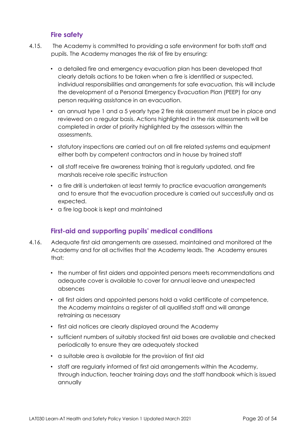# **Fire safety**

- 4.15. The Academy is committed to providing a safe environment for both staff and pupils. The Academy manages the risk of fire by ensuring:
	- a detailed fire and emergency evacuation plan has been developed that clearly details actions to be taken when a fire is identified or suspected, individual responsibilities and arrangements for safe evacuation, this will include the development of a Personal Emergency Evacuation Plan (PEEP) for any person requiring assistance in an evacuation.
	- an annual type 1 and a 5 yearly type 2 fire risk assessment must be in place and reviewed on a regular basis. Actions highlighted in the risk assessments will be completed in order of priority highlighted by the assessors within the assessments.
	- statutory inspections are carried out on all fire related systems and equipment either both by competent contractors and in house by trained staff
	- all staff receive fire awareness training that is regularly updated, and fire marshals receive role specific instruction
	- a fire drill is undertaken at least termly to practice evacuation arrangements and to ensure that the evacuation procedure is carried out successfully and as expected.
	- a fire log book is kept and maintained

# **First-aid and supporting pupils' medical conditions**

- 4.16. Adequate first aid arrangements are assessed, maintained and monitored at the Academy and for all activities that the Academy leads. The Academy ensures that:
	- the number of first aiders and appointed persons meets recommendations and adequate cover is available to cover for annual leave and unexpected absences
	- all first aiders and appointed persons hold a valid certificate of competence, the Academy maintains a register of all qualified staff and will arrange retraining as necessary
	- first aid notices are clearly displayed around the Academy
	- sufficient numbers of suitably stocked first aid boxes are available and checked periodically to ensure they are adequately stocked
	- a suitable area is available for the provision of first aid
	- staff are regularly informed of first aid arrangements within the Academy, through induction, teacher training days and the staff handbook which is issued annually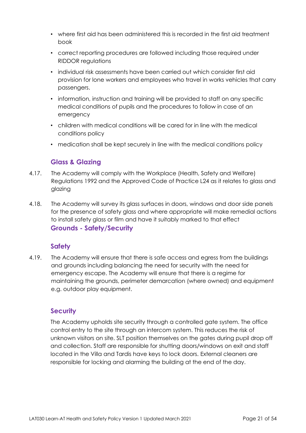- where first aid has been administered this is recorded in the first aid treatment book
- correct reporting procedures are followed including those required under RIDDOR regulations
- individual risk assessments have been carried out which consider first aid provision for lone workers and employees who travel in works vehicles that carry passengers.
- information, instruction and training will be provided to staff on any specific medical conditions of pupils and the procedures to follow in case of an emergency
- children with medical conditions will be cared for in line with the medical conditions policy
- medication shall be kept securely in line with the medical conditions policy

# **Glass & Glazing**

- 4.17. The Academy will comply with the Workplace (Health, Safety and Welfare) Regulations 1992 and the Approved Code of Practice L24 as it relates to glass and glazing
- 4.18. The Academy will survey its glass surfaces in doors, windows and door side panels for the presence of safety glass and where appropriate will make remedial actions to install safety glass or film and have it suitably marked to that effect **Grounds - Safety/Security**

### **Safety**

4.19. The Academy will ensure that there is safe access and egress from the buildings and grounds including balancing the need for security with the need for emergency escape. The Academy will ensure that there is a regime for maintaining the grounds, perimeter demarcation (where owned) and equipment e.g. outdoor play equipment.

### **Security**

The Academy upholds site security through a controlled gate system. The office control entry to the site through an intercom system. This reduces the risk of unknown visitors on site. SLT position themselves on the gates during pupil drop off and collection. Staff are responsible for shutting doors/windows on exit and staff located in the Villa and Tardis have keys to lock doors. External cleaners are responsible for locking and alarming the building at the end of the day.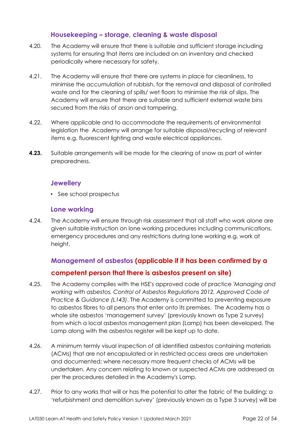### **Housekeeping – storage, cleaning & waste disposal**

- 4.20. The Academy will ensure that there is suitable and sufficient storage including systems for ensuring that items are included on an inventory and checked periodically where necessary for safety.
- 4.21. The Academy will ensure that there are systems in place for cleanliness, to minimise the accumulation of rubbish, for the removal and disposal of controlled waste and for the cleaning of spills/ wet floors to minimise the risk of slips. The Academy will ensure that there are suitable and sufficient external waste bins secured from the risks of arson and tampering.
- 4.22. Where applicable and to accommodate the requirements of environmental legislation the Academy will arrange for suitable disposal/recycling of relevant items e.g. fluorescent lighting and waste electrical appliances.
- **4.23.** Suitable arrangements will be made for the clearing of snow as part of winter preparedness.

### **Jewellery**

• See school prospectus

### **Lone working**

4.24. The Academy will ensure through risk assessment that all staff who work alone are given suitable instruction on lone working procedures including communications, emergency procedures and any restrictions during lone working e.g. work at height.

# **Management of asbestos (applicable if it has been confirmed by a competent person that there is asbestos present on site)**

- 4.25. The Academy complies with the HSE's approved code of practice *'Managing and working with asbestos, Control of Asbestos Regulations 2012, Approved Code of Practice & Guidance (L143)*. The Academy is committed to preventing exposure to asbestos fibres to all persons that enter onto its premises. The Academy has a whole site asbestos 'management survey' (previously known as Type 2 survey) from which a local asbestos management plan (Lamp) has been developed. The Lamp along with the asbestos register will be kept up to date.
- 4.26. A minimum termly visual inspection of all identified asbestos containing materials (ACMs) that are not encapsulated or in restricted access areas are undertaken and documented; where necessary more frequent checks of ACMs will be undertaken. Any concern relating to known or suspected ACMs are addressed as per the procedures detailed in the Academy's Lamp.
- 4.27. Prior to any works that will or has the potential to alter the fabric of the building; a 'refurbishment and demolition survey' (previously known as a Type 3 survey) will be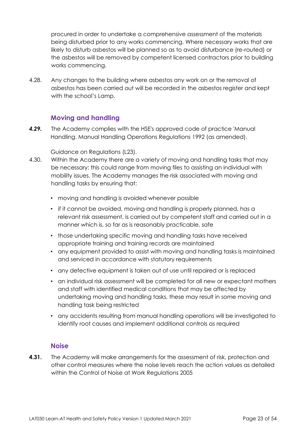procured in order to undertake a comprehensive assessment of the materials being disturbed prior to any works commencing. Where necessary works that are likely to disturb asbestos will be planned so as to avoid disturbance (re-routed) or the asbestos will be removed by competent licensed contractors prior to building works commencing.

4.28. Any changes to the building where asbestos any work on or the removal of asbestos has been carried out will be recorded in the asbestos register and kept with the school's Lamp.

### **Moving and handling**

*4.29.* The Academy complies with the HSE's approved code of practice 'Manual Handling. Manual Handling Operations Regulations 1992 (as amended).

Guidance on Regulations (L23).

- 4.30. Within the Academy there are a variety of moving and handling tasks that may be necessary; this could range from moving files to assisting an individual with mobility issues. The Academy manages the risk associated with moving and handling tasks by ensuring that:
	- moving and handling is avoided whenever possible
	- if it cannot be avoided, moving and handling is properly planned, has a relevant risk assessment, is carried out by competent staff and carried out in a manner which is, so far as is reasonably practicable, safe
	- those undertaking specific moving and handling tasks have received appropriate training and training records are maintained
	- any equipment provided to assist with moving and handling tasks is maintained and serviced in accordance with statutory requirements
	- any defective equipment is taken out of use until repaired or is replaced
	- an individual risk assessment will be completed for all new or expectant mothers and staff with identified medical conditions that may be affected by undertaking moving and handling tasks, these may result in some moving and handling task being restricted
	- any accidents resulting from manual handling operations will be investigated to identify root causes and implement additional controls as required

#### **Noise**

**4.31.** The Academy will make arrangements for the assessment of risk, protection and other control measures where the noise levels reach the action values as detailed within the Control of Noise at Work Regulations 2005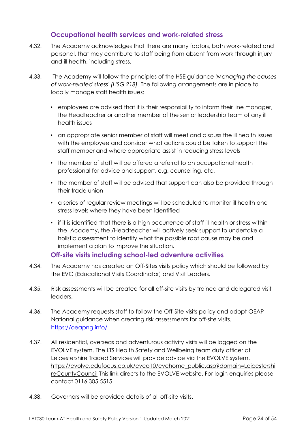### **Occupational health services and work-related stress**

- 4.32. The Academy acknowledges that there are many factors, both work-related and personal, that may contribute to staff being from absent from work through injury and ill health, including stress.
- 4.33. The Academy will follow the principles of the HSE guidance *'Managing the causes of work-related stress' (HSG 218).* The following arrangements are in place to locally manage staff health issues:
	- employees are advised that it is their responsibility to inform their line manager, the Headteacher or another member of the senior leadership team of any ill health issues
	- an appropriate senior member of staff will meet and discuss the ill health issues with the employee and consider what actions could be taken to support the staff member and where appropriate assist in reducing stress levels
	- the member of staff will be offered a referral to an occupational health professional for advice and support, e.g. counselling, etc.
	- the member of staff will be advised that support can also be provided through their trade union
	- a series of regular review meetings will be scheduled to monitor ill health and stress levels where they have been identified
	- if it is identified that there is a high occurrence of staff ill health or stress within the Academy, the /Headteacher will actively seek support to undertake a holistic assessment to identify what the possible root cause may be and implement a plan to improve the situation.

**Off-site visits including school-led adventure activities** 

- 4.34. The Academy has created an Off-Sites visits policy which should be followed by the EVC (Educational Visits Coordinator) and Visit Leaders.
- 4.35. Risk assessments will be created for all off-site visits by trained and delegated visit leaders.
- 4.36. The Academy requests staff to follow the Off-Site visits policy and adopt OEAP National guidance when creating risk assessments for off-site visits. <https://oeapng.info/>
- 4.37. All residential, overseas and adventurous activity visits will be logged on the EVOLVE system. The LTS Health Safety and Wellbeing team duty officer at Leicestershire Traded Services will provide advice via the EVOLVE system. [https://evolve.edufocus.co.uk/evco10/evchome\\_public.asp?domain=Leicestershi](https://evolve.edufocus.co.uk/evco10/evchome_public.asp?domain=LeicestershireCountyCouncil)  [reCountyCouncil](https://evolve.edufocus.co.uk/evco10/evchome_public.asp?domain=LeicestershireCountyCouncil) [T](https://evolve.edufocus.co.uk/evco10/evchome_public.asp?domain=LeicestershireCountyCouncil)his link directs to the EVOLVE website. For login enquiries please contact 0116 305 5515.
- 4.38. Governors will be provided details of all off-site visits.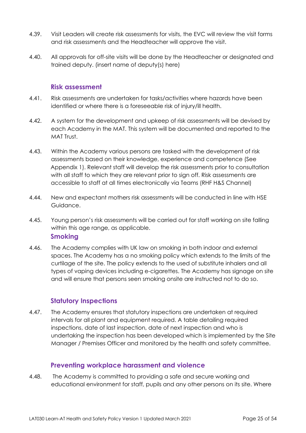- 4.39. Visit Leaders will create risk assessments for visits, the EVC will review the visit forms and risk assessments and the Headteacher will approve the visit.
- 4.40. All approvals for off-site visits will be done by the Headteacher or designated and trained deputy. (insert name of deputy(s) here)

#### **Risk assessment**

- 4.41. Risk assessments are undertaken for tasks/activities where hazards have been identified or where there is a foreseeable risk of injury/ill health.
- 4.42. A system for the development and upkeep of risk assessments will be devised by each Academy in the MAT. This system will be documented and reported to the MAT Trust.
- 4.43. Within the Academy various persons are tasked with the development of risk assessments based on their knowledge, experience and competence (See Appendix 1). Relevant staff will develop the risk assessments prior to consultation with all staff to which they are relevant prior to sign off. Risk assessments are accessible to staff at all times electronically via Teams (RHF H&S Channel)
- 4.44. New and expectant mothers risk assessments will be conducted in line with HSE Guidance.
- 4.45. Young person's risk assessments will be carried out for staff working on site falling within this age range, as applicable. **Smoking**
- 4.46. The Academy complies with UK law on smoking in both indoor and external spaces. The Academy has a no smoking policy which extends to the limits of the curtilage of the site. The policy extends to the used of substitute inhalers and all types of vaping devices including e-cigarettes. The Academy has signage on site and will ensure that persons seen smoking onsite are instructed not to do so.

### **Statutory Inspections**

4.47. The Academy ensures that statutory inspections are undertaken at required intervals for all plant and equipment required. A table detailing required inspections, date of last inspection, date of next inspection and who is undertaking the inspection has been developed which is implemented by the Site Manager / Premises Officer and monitored by the health and safety committee.

### **Preventing workplace harassment and violence**

4.48. The Academy is committed to providing a safe and secure working and educational environment for staff, pupils and any other persons on its site. Where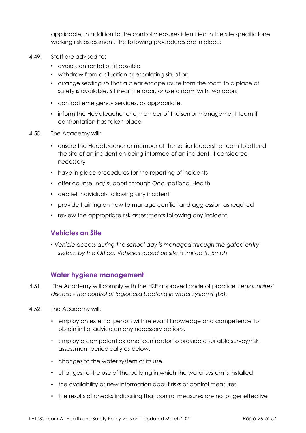applicable, in addition to the control measures identified in the site specific lone working risk assessment, the following procedures are in place:

- 4.49. Staff are advised to:
	- avoid confrontation if possible
	- withdraw from a situation or escalating situation
	- arrange seating so that a clear escape route from the room to a place of safety is available. Sit near the door, or use a room with two doors
	- contact emergency services, as appropriate.
	- inform the Headteacher or a member of the senior management team if confrontation has taken place
- 4.50. The Academy will:
	- ensure the Headteacher or member of the senior leadership team to attend the site of an incident on being informed of an incident, if considered necessary
	- have in place procedures for the reporting of incidents
	- offer counselling/ support through Occupational Health
	- debrief individuals following any incident
	- provide training on how to manage conflict and aggression as required
	- review the appropriate risk assessments following any incident.

#### **Vehicles on Site**

• *Vehicle access during the school day is managed through the gated entry system by the Office. Vehicles speed on site is limited to 5mph* 

### **Water hygiene management**

- 4.51. The Academy will comply with the HSE approved code of practice *'Legionnaires' disease - The control of legionella bacteria in water systems' (L8).*
- 4.52. The Academy will:
	- employ an external person with relevant knowledge and competence to obtain initial advice on any necessary actions.
	- employ a competent external contractor to provide a suitable survey/risk assessment periodically as below:
	- changes to the water system or its use
	- changes to the use of the building in which the water system is installed
	- the availability of new information about risks or control measures
	- the results of checks indicating that control measures are no longer effective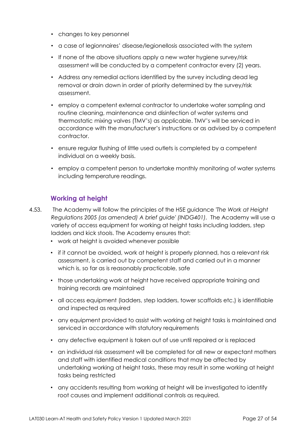- changes to key personnel
- a case of legionnaires' disease/legionellosis associated with the system
- If none of the above situations apply a new water hygiene survey/risk assessment will be conducted by a competent contractor every (2) years.
- Address any remedial actions identified by the survey including dead leg removal or drain down in order of priority determined by the survey/risk assessment.
- employ a competent external contractor to undertake water sampling and routine cleaning, maintenance and disinfection of water systems and thermostatic mixing valves (TMV's) as applicable. TMV's will be serviced in accordance with the manufacturer's instructions or as advised by a competent contractor.
- ensure regular flushing of little used outlets is completed by a competent individual on a weekly basis.
- employ a competent person to undertake monthly monitoring of water systems including temperature readings.

# **Working at height**

- 4.53. The Academy will follow the principles of the HSE guidance *'The Work at Height Regulations 2005 (as amended) A brief guide' (INDG401).* The Academy will use a variety of access equipment for working at height tasks including ladders, step ladders and kick stools. The Academy ensures that:
	- work at height is avoided whenever possible
	- if it cannot be avoided, work at height is properly planned, has a relevant risk assessment, is carried out by competent staff and carried out in a manner which is, so far as is reasonably practicable, safe
	- those undertaking work at height have received appropriate training and training records are maintained
	- all access equipment (ladders, step ladders, tower scaffolds etc.) is identifiable and inspected as required
	- any equipment provided to assist with working at height tasks is maintained and serviced in accordance with statutory requirements
	- any defective equipment is taken out of use until repaired or is replaced
	- an individual risk assessment will be completed for all new or expectant mothers and staff with identified medical conditions that may be affected by undertaking working at height tasks, these may result in some working at height tasks being restricted
	- any accidents resulting from working at height will be investigated to identify root causes and implement additional controls as required.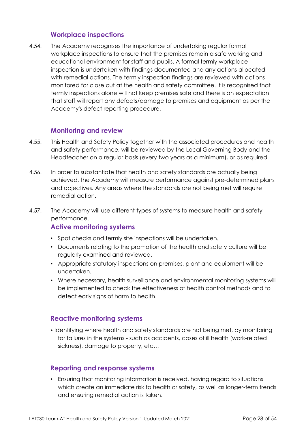### **Workplace inspections**

4.54. The Academy recognises the importance of undertaking regular formal workplace inspections to ensure that the premises remain a safe working and educational environment for staff and pupils. A formal termly workplace inspection is undertaken with findings documented and any actions allocated with remedial actions. The termly inspection findings are reviewed with actions monitored for close out at the health and safety committee. It is recognised that termly inspections alone will not keep premises safe and there is an expectation that staff will report any defects/damage to premises and equipment as per the Academy's defect reporting procedure.

### **Monitoring and review**

- 4.55. This Health and Safety Policy together with the associated procedures and health and safety performance, will be reviewed by the Local Governing Body and the Headteacher on a regular basis (every two years as a minimum), or as required.
- 4.56. In order to substantiate that health and safety standards are actually being achieved, the Academy will measure performance against pre-determined plans and objectives. Any areas where the standards are not being met will require remedial action.
- 4.57. The Academy will use different types of systems to measure health and safety performance.

### **Active monitoring systems**

- Spot checks and termly site inspections will be undertaken.
- Documents relating to the promotion of the health and safety culture will be regularly examined and reviewed.
- Appropriate statutory inspections on premises, plant and equipment will be undertaken.
- Where necessary, health surveillance and environmental monitoring systems will be implemented to check the effectiveness of health control methods and to detect early signs of harm to health.

### **Reactive monitoring systems**

• Identifying where health and safety standards are not being met, by monitoring for failures in the systems - such as accidents, cases of ill health (work-related sickness), damage to property, etc…

### **Reporting and response systems**

• Ensuring that monitoring information is received, having regard to situations which create an immediate risk to health or safety, as well as longer-term trends and ensuring remedial action is taken.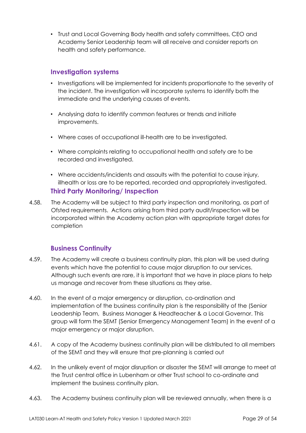• Trust and Local Governing Body health and safety committees, CEO and Academy Senior Leadership team will all receive and consider reports on health and safety performance.

### **Investigation systems**

- Investigations will be implemented for incidents proportionate to the severity of the incident. The investigation will incorporate systems to identify both the immediate and the underlying causes of events.
- Analysing data to identify common features or trends and initiate improvements.
- Where cases of occupational ill-health are to be investigated.
- Where complaints relating to occupational health and safety are to be recorded and investigated.
- Where accidents/incidents and assaults with the potential to cause injury, illhealth or loss are to be reported, recorded and appropriately investigated. **Third Party Monitoring/ Inspection**
- 4.58. The Academy will be subject to third party inspection and monitoring, as part of Ofsted requirements. Actions arising from third party audit/inspection will be incorporated within the Academy action plan with appropriate target dates for completion

# **Business Continuity**

- 4.59. The Academy will create a business continuity plan, this plan will be used during events which have the potential to cause major disruption to our services. Although such events are rare, it is important that we have in place plans to help us manage and recover from these situations as they arise.
- 4.60. In the event of a major emergency or disruption, co-ordination and implementation of the business continuity plan is the responsibility of the (Senior Leadership Team, Business Manager & Headteacher & a Local Governor. This group will form the SEMT (Senior Emergency Management Team) in the event of a major emergency or major disruption.
- 4.61. A copy of the Academy business continuity plan will be distributed to all members of the SEMT and they will ensure that pre-planning is carried out
- 4.62. In the unlikely event of major disruption or disaster the SEMT will arrange to meet at the Trust central office in Lubenham or other Trust school to co-ordinate and implement the business continuity plan.
- 4.63. The Academy business continuity plan will be reviewed annually, when there is a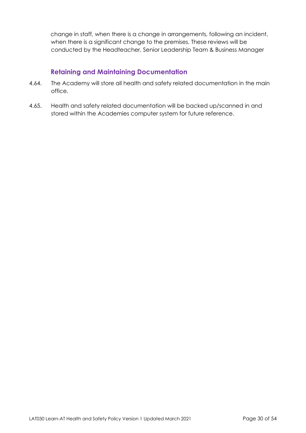change in staff, when there is a change in arrangements, following an incident, when there is a significant change to the premises. These reviews will be conducted by the Headteacher, Senior Leadership Team & Business Manager

## **Retaining and Maintaining Documentation**

- 4.64. The Academy will store all health and safety related documentation in the main office.
- 4.65. Health and safety related documentation will be backed up/scanned in and stored within the Academies computer system for future reference.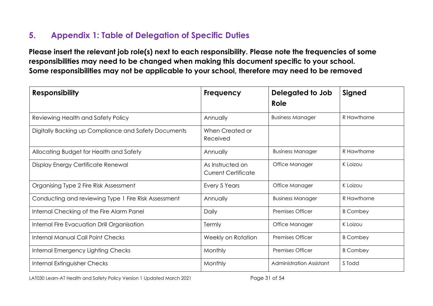# **5. Appendix 1: Table of Delegation of Specific Duties**

**Please insert the relevant job role(s) next to each responsibility. Please note the frequencies of some responsibilities may need to be changed when making this document specific to your school. Some responsibilities may not be applicable to your school, therefore may need to be removed** 

<span id="page-30-0"></span>

| <b>Responsibility</b>                                | <b>Frequency</b>                               | Delegated to Job<br>Role | Signed          |
|------------------------------------------------------|------------------------------------------------|--------------------------|-----------------|
| Reviewing Health and Safety Policy                   | Annually                                       | <b>Business Manager</b>  | R Hawthorne     |
| Digitally Backing up Compliance and Safety Documents | When Created or<br>Received                    |                          |                 |
| Allocating Budget for Health and Safety              | Annually                                       | <b>Business Manager</b>  | R Hawthorne     |
| Display Energy Certificate Renewal                   | As Instructed on<br><b>Current Certificate</b> | Office Manager           | K Loizou        |
| Organising Type 2 Fire Risk Assessment               | Every 5 Years                                  | Office Manager           | K Loizou        |
| Conducting and reviewing Type 1 Fire Risk Assessment | Annually                                       | <b>Business Manager</b>  | R Hawthorne     |
| Internal Checking of the Fire Alarm Panel            | Daily                                          | <b>Premises Officer</b>  | <b>B</b> Combey |
| Internal Fire Evacuation Drill Organisation          | Termly                                         | Office Manager           | K Loizou        |
| <b>Internal Manual Call Point Checks</b>             | Weekly on Rotation                             | <b>Premises Officer</b>  | <b>B</b> Combey |
| Internal Emergency Lighting Checks                   | Monthly                                        | <b>Premises Officer</b>  | <b>B</b> Combey |
| Internal Extinguisher Checks                         | Monthly                                        | Administration Assistant | S Todd          |

LAT030 Learn-AT Health and Safety Policy Version 1 Updated March 2021 Page 31 of 54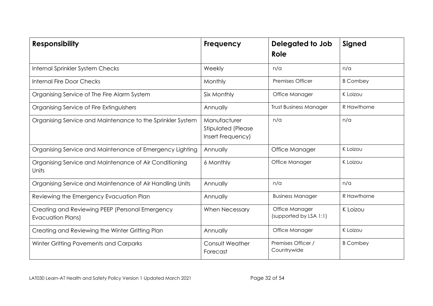| <b>Responsibility</b>                                                       | Frequency                                               | Delegated to Job<br>Role                 | Signed          |
|-----------------------------------------------------------------------------|---------------------------------------------------------|------------------------------------------|-----------------|
| Internal Sprinkler System Checks                                            | Weekly                                                  | n/a                                      | n/a             |
| <b>Internal Fire Door Checks</b>                                            | Monthly                                                 | <b>Premises Officer</b>                  | <b>B</b> Combey |
| Organising Service of The Fire Alarm System                                 | Six Monthly                                             | Office Manager                           | K Loizou        |
| Organising Service of Fire Extinguishers                                    | Annually                                                | <b>Trust Business Manager</b>            | R Hawthorne     |
| Organising Service and Maintenance to the Sprinkler System                  | Manufacturer<br>Stipulated (Please<br>Insert Frequency) | n/a                                      | n/a             |
| Organising Service and Maintenance of Emergency Lighting                    | Annually                                                | Office Manager                           | K Loizou        |
| Organising Service and Maintenance of Air Conditioning<br>Units             | 6 Monthly                                               | Office Manager                           | K Loizou        |
| Organising Service and Maintenance of Air Handling Units                    | Annually                                                | n/a                                      | n/a             |
| Reviewing the Emergency Evacuation Plan                                     | Annually                                                | <b>Business Manager</b>                  | R Hawthorne     |
| Creating and Reviewing PEEP (Personal Emergency<br><b>Evacuation Plans)</b> | When Necessary                                          | Office Manager<br>(supported by LSA 1:1) | K Loizou        |
| Creating and Reviewing the Winter Gritting Plan                             | Annually                                                | Office Manager                           | K Loizou        |
| Winter Gritting Pavements and Carparks                                      | <b>Consult Weather</b><br>Forecast                      | Premises Officer /<br>Countrywide        | <b>B</b> Combey |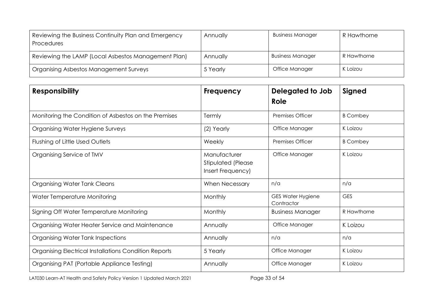| Reviewing the Business Continuity Plan and Emergency<br><b>Procedures</b> | Annually | <b>Business Manager</b> | R Hawthorne |
|---------------------------------------------------------------------------|----------|-------------------------|-------------|
| Reviewing the LAMP (Local Asbestos Management Plan)                       | Annually | <b>Business Manager</b> | R Hawthorne |
| Organising Asbestos Management Surveys                                    | 5 Yearly | Office Manager          | K Loizou    |

| <b>Responsibility</b>                                 | Frequency                                               | Delegated to Job<br>Role               | Signed          |
|-------------------------------------------------------|---------------------------------------------------------|----------------------------------------|-----------------|
| Monitoring the Condition of Asbestos on the Premises  | Termly                                                  | <b>Premises Officer</b>                | <b>B</b> Combey |
| Organising Water Hygiene Surveys                      | (2) Yearly                                              | Office Manager                         | K Loizou        |
| Flushing of Little Used Outlets                       | Weekly                                                  | Premises Officer                       | <b>B</b> Combey |
| Organising Service of TMV                             | Manufacturer<br>Stipulated (Please<br>Insert Frequency) | Office Manager                         | K Loizou        |
| Organising Water Tank Cleans                          | When Necessary                                          | n/a                                    | n/a             |
| Water Temperature Monitoring                          | Monthly                                                 | <b>GES Water Hygiene</b><br>Contractor | <b>GES</b>      |
| Signing Off Water Temperature Monitoring              | Monthly                                                 | <b>Business Manager</b>                | R Hawthorne     |
| Organising Water Heater Service and Maintenance       | Annually                                                | Office Manager                         | K Loizou        |
| Organising Water Tank Inspections                     | Annually                                                | n/a                                    | n/a             |
| Organising Electrical Installations Condition Reports | 5 Yearly                                                | Office Manager                         | K Loizou        |
| Organising PAT (Portable Appliance Testing)           | Annually                                                | Office Manager                         | K Loizou        |

LAT030 Learn-AT Health and Safety Policy Version 1 Updated March 2021 Page 33 of 54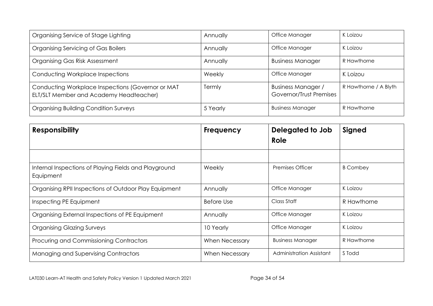| Organising Service of Stage Lighting                                                         | Annually | Office Manager                                       | K Loizou              |
|----------------------------------------------------------------------------------------------|----------|------------------------------------------------------|-----------------------|
| Organising Servicing of Gas Boilers                                                          | Annually | Office Manager                                       | K Loizou              |
| Organising Gas Risk Assessment                                                               | Annually | <b>Business Manager</b>                              | R Hawthorne           |
| Conducting Workplace Inspections                                                             | Weekly   | Office Manager                                       | K Loizou              |
| Conducting Workplace Inspections (Governor or MAT<br>ELT/SLT Member and Academy Headteacher) | Termly   | <b>Business Manager /</b><br>Governor/Trust Premises | R Hawthorne / A Blyth |
| <b>Organising Building Condition Surveys</b>                                                 | 5 Yearly | <b>Business Manager</b>                              | R Hawthorne           |

| <b>Responsibility</b>                                              | <b>Frequency</b>      | Delegated to Job<br>Role | Signed          |
|--------------------------------------------------------------------|-----------------------|--------------------------|-----------------|
|                                                                    |                       |                          |                 |
| Internal Inspections of Playing Fields and Playground<br>Equipment | Weekly                | <b>Premises Officer</b>  | <b>B</b> Combey |
| Organising RPII Inspections of Outdoor Play Equipment              | Annually              | Office Manager           | K Loizou        |
| Inspecting PE Equipment                                            | <b>Before Use</b>     | Class Staff              | R Hawthorne     |
| Organising External Inspections of PE Equipment                    | Annually              | Office Manager           | K Loizou        |
| <b>Organising Glazing Surveys</b>                                  | 10 Yearly             | Office Manager           | K Loizou        |
| Procuring and Commissioning Contractors                            | When Necessary        | <b>Business Manager</b>  | R Hawthorne     |
| Managing and Supervising Contractors                               | <b>When Necessary</b> | Administration Assistant | S Todd          |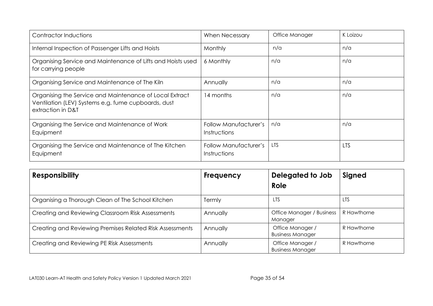| Contractor Inductions                                                                                                               | <b>When Necessary</b>                        | Office Manager | K Loizou   |
|-------------------------------------------------------------------------------------------------------------------------------------|----------------------------------------------|----------------|------------|
| Internal Inspection of Passenger Lifts and Hoists                                                                                   | Monthly                                      | n/a            | n/a        |
| Organising Service and Maintenance of Lifts and Hoists used<br>for carrying people                                                  | 6 Monthly                                    | n/a            | n/a        |
| Organising Service and Maintenance of The Kiln                                                                                      | Annually                                     | n/a            | n/a        |
| Organising the Service and Maintenance of Local Extract<br>Ventilation (LEV) Systems e.g. fume cupboards, dust<br>extraction in D&T | 14 months                                    | n/a            | n/a        |
| Organising the Service and Maintenance of Work<br>Equipment                                                                         | <b>Follow Manufacturer's</b><br>Instructions | n/a            | n/a        |
| Organising the Service and Maintenance of The Kitchen<br>Equipment                                                                  | <b>Follow Manufacturer's</b><br>Instructions | <b>LTS</b>     | <b>LTS</b> |

| <b>Responsibility</b>                                    | Frequency | Delegated to Job<br>Role                    | Signed      |
|----------------------------------------------------------|-----------|---------------------------------------------|-------------|
| Organising a Thorough Clean of The School Kitchen        | Termly    | <b>LTS</b>                                  | LTS         |
| Creating and Reviewing Classroom Risk Assessments        | Annually  | Office Manager / Business<br>Manager        | R Hawthorne |
| Creating and Reviewing Premises Related Risk Assessments | Annually  | Office Manager /<br><b>Business Manager</b> | R Hawthorne |
| Creating and Reviewing PE Risk Assessments               | Annually  | Office Manager /<br><b>Business Manager</b> | R Hawthorne |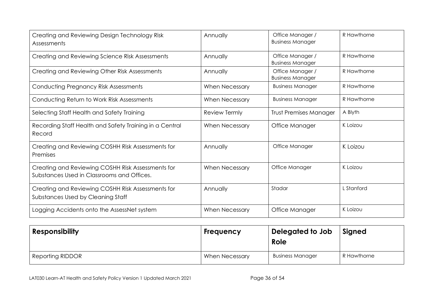| Creating and Reviewing Design Technology Risk<br>Assessments                                    | Annually              | Office Manager /<br><b>Business Manager</b> | R Hawthorne |
|-------------------------------------------------------------------------------------------------|-----------------------|---------------------------------------------|-------------|
| Creating and Reviewing Science Risk Assessments                                                 | Annually              | Office Manager /<br><b>Business Manager</b> | R Hawthorne |
| Creating and Reviewing Other Risk Assessments                                                   | Annually              | Office Manager /<br><b>Business Manager</b> | R Hawthorne |
| <b>Conducting Pregnancy Risk Assessments</b>                                                    | <b>When Necessary</b> | <b>Business Manager</b>                     | R Hawthorne |
| Conducting Return to Work Risk Assessments                                                      | When Necessary        | <b>Business Manager</b>                     | R Hawthorne |
| Selecting Staff Health and Safety Training                                                      | Review Termly         | <b>Trust Premises Manager</b>               | A Blyth     |
| Recording Staff Health and Safety Training in a Central<br>Record                               | When Necessary        | Office Manager                              | K Loizou    |
| Creating and Reviewing COSHH Risk Assessments for<br>Premises                                   | Annually              | Office Manager                              | K Loizou    |
| Creating and Reviewing COSHH Risk Assessments for<br>Substances Used in Classrooms and Offices. | <b>When Necessary</b> | Office Manager                              | K Loizou    |
| Creating and Reviewing COSHH Risk Assessments for<br>Substances Used by Cleaning Staff          | Annually              | Stadar                                      | L Stanford  |
| Logging Accidents onto the AssessNet system                                                     | <b>When Necessary</b> | Office Manager                              | K Loizou    |

| <b>Responsibility</b> | Frequency             | Delegated to Job<br>Role | Signed      |
|-----------------------|-----------------------|--------------------------|-------------|
| Reporting RIDDOR      | <b>When Necessary</b> | <b>Business Manager</b>  | R Hawthorne |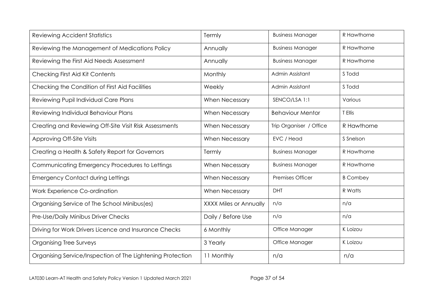| <b>Reviewing Accident Statistics</b>                       | Termly                        | <b>Business Manager</b> | R Hawthorne     |
|------------------------------------------------------------|-------------------------------|-------------------------|-----------------|
| Reviewing the Management of Medications Policy             | Annually                      | <b>Business Manager</b> | R Hawthorne     |
| Reviewing the First Aid Needs Assessment                   | Annually                      | <b>Business Manager</b> | R Hawthorne     |
| Checking First Aid Kit Contents                            | Monthly                       | Admin Assistant         | S Todd          |
| Checking the Condition of First Aid Facilities             | Weekly                        | Admin Assistant         | S Todd          |
| Reviewing Pupil Individual Care Plans                      | <b>When Necessary</b>         | SENCO/LSA 1:1           | Various         |
| Reviewing Individual Behaviour Plans                       | When Necessary                | <b>Behaviour Mentor</b> | T Ellis         |
| Creating and Reviewing Off-Site Visit Risk Assessments     | When Necessary                | Trip Organiser / Office | R Hawthorne     |
| <b>Approving Off-Site Visits</b>                           | <b>When Necessary</b>         | EVC / Head              | S Snelson       |
| Creating a Health & Safety Report for Governors            | Termly                        | <b>Business Manager</b> | R Hawthorne     |
| Communicating Emergency Procedures to Lettings             | When Necessary                | <b>Business Manager</b> | R Hawthorne     |
| <b>Emergency Contact during Lettings</b>                   | <b>When Necessary</b>         | <b>Premises Officer</b> | <b>B</b> Combey |
| Work Experience Co-ordination                              | <b>When Necessary</b>         | <b>DHT</b>              | R Watts         |
| Organising Service of The School Minibus(es)               | <b>XXXX Miles or Annually</b> | n/a                     | n/a             |
| Pre-Use/Daily Minibus Driver Checks                        | Daily / Before Use            | n/a                     | n/a             |
| Driving for Work Drivers Licence and Insurance Checks      | 6 Monthly                     | Office Manager          | K Loizou        |
| <b>Organising Tree Surveys</b>                             | 3 Yearly                      | Office Manager          | K Loizou        |
| Organising Service/Inspection of The Lightening Protection | 11 Monthly                    | n/a                     | n/a             |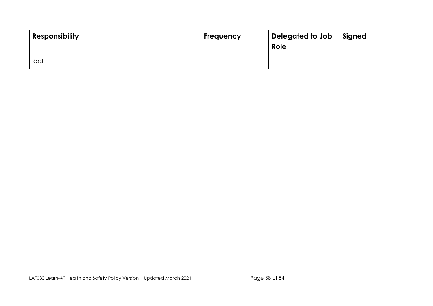| <b>Responsibility</b> | <b>Frequency</b> | Delegated to Job<br>Role | Signed |
|-----------------------|------------------|--------------------------|--------|
| Rod                   |                  |                          |        |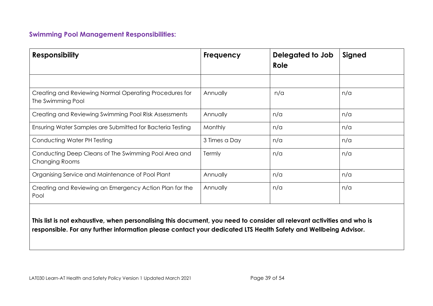# **Swimming Pool Management Responsibilities:**

| <b>Responsibility</b>                                                         | <b>Frequency</b> | Delegated to Job<br>Role | Signed |
|-------------------------------------------------------------------------------|------------------|--------------------------|--------|
|                                                                               |                  |                          |        |
| Creating and Reviewing Normal Operating Procedures for<br>The Swimming Pool   | Annually         | n/a                      | n/a    |
| Creating and Reviewing Swimming Pool Risk Assessments                         | Annually         | n/a                      | n/a    |
| Ensuring Water Samples are Submitted for Bacteria Testing                     | Monthly          | n/a                      | n/a    |
| Conducting Water PH Testing                                                   | 3 Times a Day    | n/a                      | n/a    |
| Conducting Deep Cleans of The Swimming Pool Area and<br><b>Changing Rooms</b> | Termly           | n/a                      | n/a    |
| Organising Service and Maintenance of Pool Plant                              | Annually         | n/a                      | n/a    |
| Creating and Reviewing an Emergency Action Plan for the<br>Pool               | Annually         | n/a                      | n/a    |
|                                                                               |                  |                          |        |

**This list is not exhaustive, when personalising this document, you need to consider all relevant activities and who is responsible. For any further information please contact your dedicated LTS Health Safety and Wellbeing Advisor.**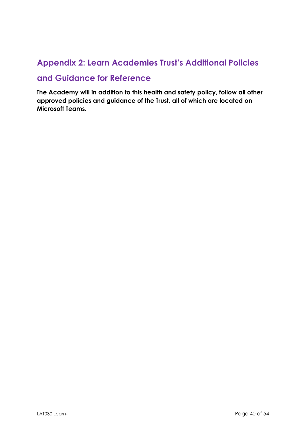# <span id="page-39-0"></span>**Appendix 2: Learn Academies Trust's Additional Policies**

# **and Guidance for Reference**

**The Academy will in addition to this health and safety policy, follow all other approved policies and guidance of the Trust, all of which are located on Microsoft Teams.**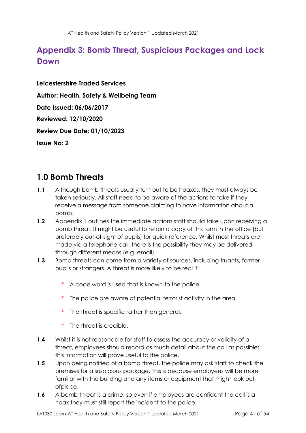# <span id="page-40-0"></span>**Appendix 3: Bomb Threat, Suspicious Packages and Lock Down**

**Leicestershire Traded Services Author: Health, Safety & Wellbeing Team Date Issued: 06/06/2017 Reviewed: 12/10/2020 Review Due Date: 01/10/2023 Issue No: 2** 

# <span id="page-40-1"></span>**1.0 Bomb Threats**

- **1.1** Although bomb threats usually turn out to be hoaxes, they must always be taken seriously. All staff need to be aware of the actions to take if they receive a message from someone claiming to have information about a bomb.
- **1.2** Appendix 1 outlines the immediate actions staff should take upon receiving a bomb threat. It might be useful to retain a copy of this form in the office (but preferably out-of-sight of pupils) for quick reference. Whilst most threats are made via a telephone call, there is the possibility they may be delivered through different means (e.g. email).
- **1.3** Bomb threats can come from a variety of sources, including truants, former pupils or strangers. A threat is more likely to be real if:
	- A code word is used that is known to the police.
	- The police are aware of potential terrorist activity in the area.
	- The threat is specific rather than general.
	- $\blacksquare$ The threat is credible.
- **1.4** Whilst it is not reasonable for staff to assess the accuracy or validity of a threat, employees should record as much detail about the call as possible; this information will prove useful to the police.
- **1.5** Upon being notified of a bomb threat, the police may ask staff to check the premises for a suspicious package. This is because employees will be more familiar with the building and any items or equipment that might look outofplace.
- **1.6** A bomb threat is a crime, so even if employees are confident the call is a hoax they must still report the incident to the police.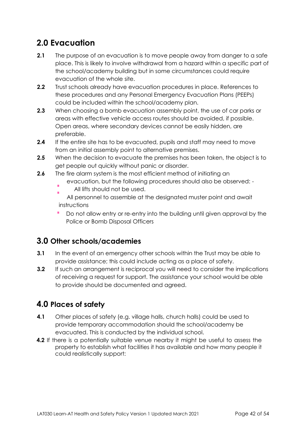# <span id="page-41-0"></span>**2.0 Evacuation**

- **2.1** The purpose of an evacuation is to move people away from danger to a safe place. This is likely to involve withdrawal from a hazard within a specific part of the school/academy building but in some circumstances could require evacuation of the whole site.
- **2.2** Trust schools already have evacuation procedures in place. References to these procedures and any Personal Emergency Evacuation Plans (PEEPs) could be included within the school/academy plan.
- **2.3** When choosing a bomb evacuation assembly point, the use of car parks or areas with effective vehicle access routes should be avoided, if possible. Open areas, where secondary devices cannot be easily hidden, are preferable.
- **2.4** If the entire site has to be evacuated, pupils and staff may need to move from an initial assembly point to alternative premises.
- **2.5** When the decision to evacuate the premises has been taken, the object is to get people out quickly without panic or disorder.
- **2.6** The fire alarm system is the most efficient method of initiating an
	- evacuation, but the following procedures should also be observed: -
	- All lifts should not be used.

All personnel to assemble at the designated muster point and await instructions

Do not allow entry or re-entry into the building until given approval by the Police or Bomb Disposal Officers

# <span id="page-41-1"></span>**3.0 Other schools/academies**

- **3.1** In the event of an emergency other schools within the Trust may be able to provide assistance; this could include acting as a place of safety.
- **3.2** If such an arrangement is reciprocal you will need to consider the implications of receiving a request for support. The assistance your school would be able to provide should be documented and agreed.

# <span id="page-41-2"></span>**4.0 Places of safety**

- **4.1** Other places of safety (e.g. village halls, church halls) could be used to provide temporary accommodation should the school/academy be evacuated. This is conducted by the individual school.
- **4.2** If there is a potentially suitable venue nearby it might be useful to assess the property to establish what facilities it has available and how many people it could realistically support: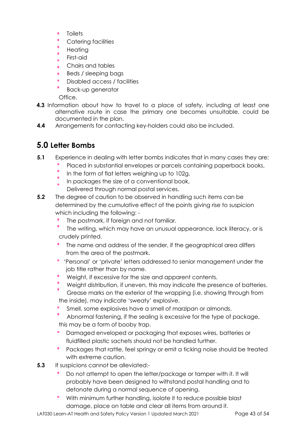- × **Toilets**
- × Catering facilities
- × **Heating**
- First-aid ř.
- Chairs and tables
- Beds / sleeping bags
- Disabled access / facilities
- Back-up generator

Office.

- **4.3** Information about how to travel to a place of safety, including at least one alternative route in case the primary one becomes unsuitable, could be documented in the plan.
- **4.4** Arrangements for contacting key-holders could also be included.

# <span id="page-42-0"></span>**5.0 Letter Bombs**

- **5.1** Experience in dealing with letter bombs indicates that in many cases they are:
	- Placed in substantial envelopes or parcels containing paperback books,
	- à, In the form of flat letters weighing up to 102g,
	- In packages the size of a conventional book,
		- Delivered through normal postal services.
- **5.2** The degree of caution to be observed in handling such items can be determined by the cumulative effect of the points giving rise to suspicion which including the following: -
	- The postmark, if foreign and not familiar.
	- The writing, which may have an unusual appearance, lack literacy, or is crudely printed.
	- The name and address of the sender, if the geographical area differs from the area of the postmark.
	- 'Personal' or 'private' letters addressed to senior management under the job title rather than by name.
	- Weight, if excessive for the size and apparent contents.
	- Weight distribution, if uneven, this may indicate the presence of batteries.
	- Grease marks on the exterior of the wrapping (i.e. showing through from the inside), may indicate 'sweaty' explosive.
	- Smell, some explosives have a smell of marzipan or almonds.
	- Abnormal fastening, if the sealing is excessive for the type of package, this may be a form of booby trap.
	- Damaged enveloped or packaging that exposes wires, batteries or fluidfilled plastic sachets should not be handled further.
	- Packages that rattle, feel springy or emit a ticking noise should be treated with extreme caution.
- **5.3** If suspicions cannot be alleviated:-
	- Do not attempt to open the letter/package or tamper with it. It will probably have been designed to withstand postal handling and to detonate during a normal sequence of opening.
	- With minimum further handling, isolate it to reduce possible blast damage, place on table and clear all items from around it.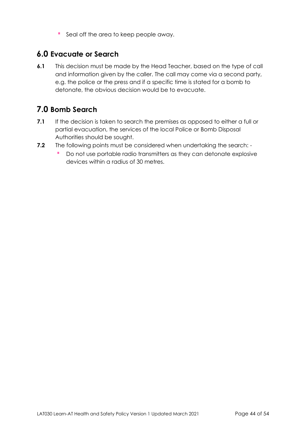Seal off the area to keep people away.

# <span id="page-43-0"></span>**6.0 Evacuate or Search**

**6.1** This decision must be made by the Head Teacher, based on the type of call and information given by the caller. The call may come via a second party, e.g. the police or the press and if a specific time is stated for a bomb to detonate, the obvious decision would be to evacuate.

# <span id="page-43-1"></span>**7.0 Bomb Search**

- **7.1** If the decision is taken to search the premises as opposed to either a full or partial evacuation, the services of the local Police or Bomb Disposal Authorities should be sought.
- **7.2** The following points must be considered when undertaking the search: -
	- Do not use portable radio transmitters as they can detonate explosive  $\mathcal{L}_{\mathcal{A}}$ devices within a radius of 30 metres.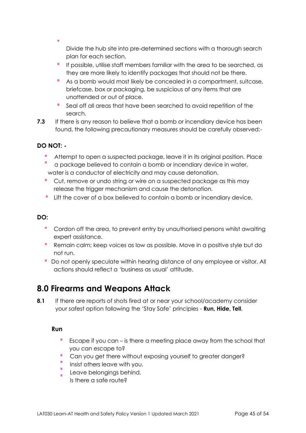Divide the hub site into pre-determined sections with a thorough search plan for each section.

- If possible, utilise staff members familiar with the area to be searched, as they are more likely to identify packages that should not be there.
- As a bomb would most likely be concealed in a compartment, suitcase, briefcase, box or packaging, be suspicious of any items that are unattended or out of place.
- Seal off all areas that have been searched to avoid repetition of the search.
- **7.3** If there is any reason to believe that a bomb or incendiary device has been found, the following precautionary measures should be carefully observed:-

# **DO NOT: -**

- Attempt to open a suspected package, leave it in its original position. Place
- a package believed to contain a bomb or incendiary device in water, water is a conductor of electricity and may cause detonation.
- Cut, remove or undo string or wire on a suspected package as this may release the trigger mechanism and cause the detonation.
- Lift the cover of a box believed to contain a bomb or incendiary device.

### **DO:**

- Cordon off the area, to prevent entry by unauthorised persons whilst awaiting expert assistance.
- Remain calm; keep voices as low as possible. Move in a positive style but do not run.
- **Do not openly speculate within hearing distance of any employee or visitor. All** actions should reflect a 'business as usual' attitude.

# <span id="page-44-0"></span>**8.0 Firearms and Weapons Attack**

**8.1** If there are reports of shots fired at or near your school/academy consider your safest option following the 'Stay Safe' principles - **Run, Hide, Tell**.

### **Run**

- Escape if you can is there a meeting place away from the school that you can escape to?
- Can you get there without exposing yourself to greater danger?
- Insist others leave with you.
- Leave belongings behind.
- Is there a safe route?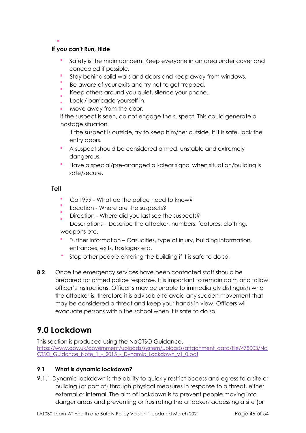#### **If you can't Run, Hide**

- Safety is the main concern. Keep everyone in an area under cover and concealed if possible.
- Stay behind solid walls and doors and keep away from windows.
- Be aware of your exits and try not to get trapped.
- Keep others around you quiet, silence your phone.
- Lock / barricade yourself in.
- Move away from the door.

If the suspect is seen, do not engage the suspect. This could generate a hostage situation.

If the suspect is outside, try to keep him/her outside. If it is safe, lock the entry doors.

- A suspect should be considered armed, unstable and extremely dangerous.
- Have a special/pre-arranged all-clear signal when situation/building is safe/secure.

#### **Tell**

- Call 999 What do the police need to know?
- Location Where are the suspects?
- Direction Where did you last see the suspects?
- Descriptions Describe the attacker, numbers, features, clothing, weapons etc.
- Further information Casualties, type of injury, building information, entrances, exits, hostages etc.
- Stop other people entering the building if it is safe to do so.
- **8.2** Once the emergency services have been contacted staff should be prepared for armed police response. It is important to remain calm and follow officer's instructions. Officer's may be unable to immediately distinguish who the attacker is, therefore it is advisable to avoid any sudden movement that may be considered a threat and keep your hands in view. Officers will evacuate persons within the school when it is safe to do so.

# <span id="page-45-0"></span>**9.0 Lockdown**

This section is produced using the NaCTSO Guidance. [https://www.gov.uk/government/uploads/system/uploads/attachment\\_data/file/478003/Na](https://www.gov.uk/government/uploads/system/uploads/attachment_data/file/478003/NaCTSO_Guidance_Note_1_-_2015_-_Dynamic_Lockdown_v1_0.pdf)  CTSO\_Guidance\_Note\_1 - 2015 - Dynamic\_Lockdown\_v1\_0.pdf

### **9.1 What is dynamic lockdown?**

9.1.1 Dynamic lockdown is the ability to quickly restrict access and egress to a site or building (or part of) through physical measures in response to a threat, either external or internal. The aim of lockdown is to prevent people moving into danger areas and preventing or frustrating the attackers accessing a site (or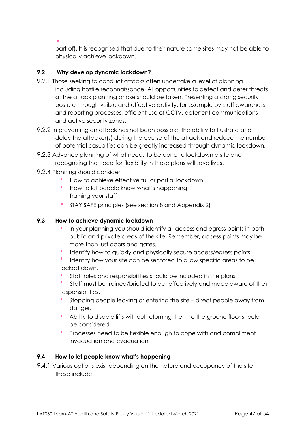part of). It is recognised that due to their nature some sites may not be able to physically achieve lockdown.

## **9.2 Why develop dynamic lockdown?**

- 9.2.1 Those seeking to conduct attacks often undertake a level of planning including hostile reconnaissance. All opportunities to detect and deter threats at the attack planning phase should be taken. Presenting a strong security posture through visible and effective activity, for example by staff awareness and reporting processes, efficient use of CCTV, deterrent communications and active security zones.
- 9.2.2 In preventing an attack has not been possible, the ability to frustrate and delay the attacker(s) during the course of the attack and reduce the number of potential casualties can be greatly increased through dynamic lockdown.
- 9.2.3 Advance planning of what needs to be done to lockdown a site and recognising the need for flexibility in those plans will save lives.
- 9.2.4 Planning should consider;
	- How to achieve effective full or partial lockdown
	- How to let people know what's happening Training your staff
	- STAY SAFE principles (see section 8 and Appendix 2)

### **9.3 How to achieve dynamic lockdown**

- In your planning you should identify all access and egress points in both public and private areas of the site. Remember, access points may be more than just doors and gates.
- Identify how to quickly and physically secure access/egress points
- Identify how your site can be sectored to allow specific areas to be locked down.
- Staff roles and responsibilities should be included in the plans.
- Staff must be trained/briefed to act effectively and made aware of their responsibilities.
- Stopping people leaving or entering the site direct people away from danger.
- Ability to disable lifts without returning them to the ground floor should be considered.
- Processes need to be flexible enough to cope with and compliment invacuation and evacuation.

### **9.4 How to let people know what's happening**

9.4.1 Various options exist depending on the nature and occupancy of the site, these include;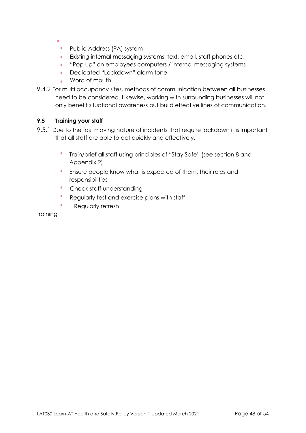- - **Public Address (PA) system**
	- **Existing internal messaging systems; text, email, staff phones etc.**
	- "Pop up" on employees computers / internal messaging systems
	- Dedicated "Lockdown" alarm tone
	- Word of mouth
- 9.4.2 For multi occupancy sites, methods of communication between all businesses need to be considered. Likewise, working with surrounding businesses will not only benefit situational awareness but build effective lines of communication.

#### **9.5 Training your staff**

- 9.5.1 Due to the fast moving nature of incidents that require lockdown it is important that all staff are able to act quickly and effectively.
	- ×, Train/brief all staff using principles of "Stay Safe" (see section 8 and Appendix 2)
	- Ensure people know what is expected of them, their roles and responsibilities
	- **Check staff understanding**
	- Regularly test and exercise plans with staff
	- Regularly refresh

training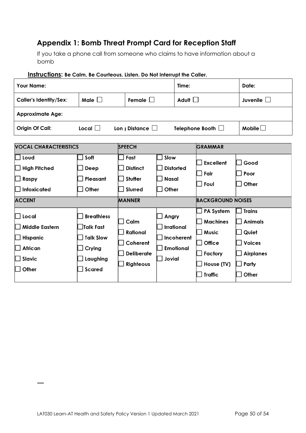# **Appendix 1: Bomb Threat Prompt Card for Reception Staff**

If you take a phone call from someone who claims to have information about a bomb

| <b>Your Name:</b>                                                               |                                                                                                  |                                                                |                               | Time:                                               |                                                                                                                 | Date:                                                                                           |
|---------------------------------------------------------------------------------|--------------------------------------------------------------------------------------------------|----------------------------------------------------------------|-------------------------------|-----------------------------------------------------|-----------------------------------------------------------------------------------------------------------------|-------------------------------------------------------------------------------------------------|
| <b>Caller's Identity/Sex:</b>                                                   | Male $\square$                                                                                   | Female $\Box$                                                  |                               | Adult $\square$                                     |                                                                                                                 | Juvenile $\Box$                                                                                 |
| <b>Approximate Age:</b>                                                         |                                                                                                  |                                                                |                               |                                                     |                                                                                                                 |                                                                                                 |
| Origin Of Call:                                                                 | Local $\Box$                                                                                     | Lon $\vert$ Distance $\vert$                                   |                               |                                                     | Telephone Booth $\Box$                                                                                          | Mobile $\Box$                                                                                   |
| <b>VOCAL CHARACTERISTICS</b>                                                    |                                                                                                  | <b>SPEECH</b>                                                  |                               |                                                     | GRAMMAR                                                                                                         |                                                                                                 |
| Loud<br><b>High Pitched</b><br>Raspy<br><b>Intoxicated</b><br><b>ACCENT</b>     | Soft<br>Deep<br>Pleasant<br>Other                                                                | Fast<br><b>Distinct</b><br>Stutter<br>Slurred<br><b>MANNER</b> | Slow<br><b>Nasal</b><br>Other | <b>Distorted</b>                                    | <b>Excellent</b><br>Fair<br>Foul<br><b>BACKGROUND NOISES</b>                                                    | Good<br>Poor<br>Other                                                                           |
| Local<br><b>Middle Eastern</b><br>Hispanic<br><b>African</b><br>Slavic<br>Other | <b>Breathless</b><br><b>Talk Fast</b><br><b>Talk Slow</b><br>Crying<br>Laughing<br><b>Scared</b> | Calm<br>Rational<br>Coherent<br><b>Deliberate</b><br>Righteous | Angry<br>Jovial               | <b>Irrational</b><br>Incoherent<br><b>Emotional</b> | <b>PA System</b><br><b>Machines</b><br><b>Music</b><br><b>Office</b><br>Factory<br>House (TV)<br><b>Traffic</b> | <b>Trains</b><br><b>Animals</b><br>Quiet<br><b>Voices</b><br><b>Airplanes</b><br>Party<br>Other |

#### **Instructions: Be Calm, Be Courteous. Listen. Do Not Interrupt the Caller.**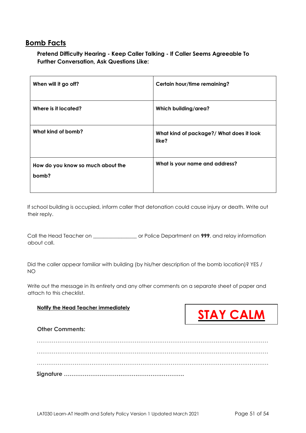# **Bomb Facts**

**Pretend Difficulty Hearing - Keep Caller Talking - If Caller Seems Agreeable To Further Conversation, Ask Questions Like:** 

| When will it go off?                       | Certain hour/time remaining?                      |
|--------------------------------------------|---------------------------------------------------|
| Where is it located?                       | Which building/area?                              |
| What kind of bomb?                         | What kind of package?/ What does it look<br>like? |
| How do you know so much about the<br>bomb? | What is your name and address?                    |

If school building is occupied, inform caller that detonation could cause injury or death. Write out their reply.

Call the Head Teacher on \_\_\_\_\_\_\_\_\_\_\_\_\_\_\_\_\_ or Police Department on **999**, and relay information about call.

Did the caller appear familiar with building (by his/her description of the bomb location)? YES / NO

Write out the message in its entirety and any other comments on a separate sheet of paper and attach to this checklist.

#### **Notify the Head Teacher immediately**



**Other Comments:** 

…………………………………………………………………………………………………………… …………………………………………………………………………………………………………… …………………………………………………………………………………………………………… **Signature ……………………………………………………….**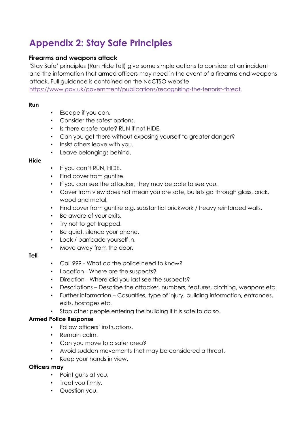# <span id="page-52-0"></span>**Appendix 2: Stay Safe Principles**

### **Firearms and weapons attack**

'Stay Safe' principles (Run Hide Tell) give some simple actions to consider at an incident and the information that armed officers may need in the event of a firearms and weapons attack. Full guidance is contained on the NaCTSO website

[https://www.gov.uk/government/publications/recognising-the-terrorist-threat.](https://www.gov.uk/government/publications/recognising-the-terrorist-threat) 

#### **Run**

- Escape if you can.
- Consider the safest options.
- Is there a safe route? RUN if not HIDE.
- Can you get there without exposing yourself to greater danger?
- Insist others leave with you.
- Leave belongings behind.

#### **Hide**

- If you can't RUN, HIDE.
- Find cover from gunfire.
- If you can see the attacker, they may be able to see you.
- Cover from view does not mean you are safe, bullets go through glass, brick, wood and metal.
- Find cover from gunfire e.g. substantial brickwork / heavy reinforced walls.
- Be aware of your exits.
- Try not to get trapped.
- Be quiet, silence your phone.
- Lock / barricade yourself in.
- Move away from the door.

#### **Tell**

- Call 999 What do the police need to know?
- Location Where are the suspects?
- Direction Where did you last see the suspects?
- Descriptions Describe the attacker, numbers, features, clothing, weapons etc.
- Further information Casualties, type of injury, building information, entrances, exits, hostages etc.
- Stop other people entering the building if it is safe to do so.

### **Armed Police Response**

- Follow officers' instructions.
- Remain calm.
- Can you move to a safer area?
- Avoid sudden movements that may be considered a threat.
- Keep your hands in view.

#### **Officers may**

- Point guns at you.
- Treat you firmly.
- Question you.